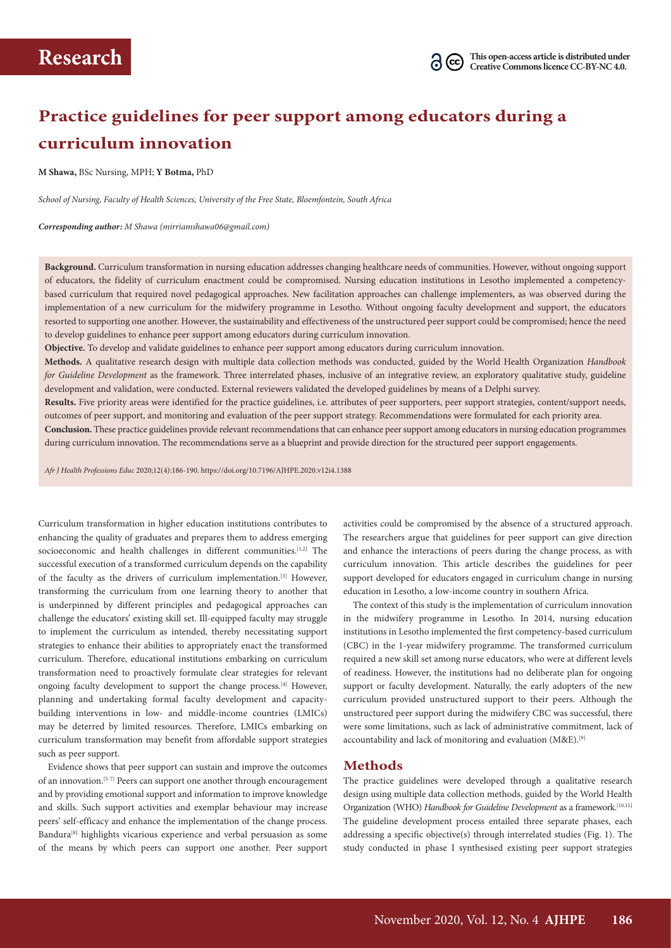# **Practice guidelines for peer support among educators during a curriculum innovation**

**M Shawa,** BSc Nursing, MPH; **Y Botma,** PhD

*School of Nursing, Faculty of Health Sciences, University of the Free State, Bloemfontein, South Africa*

*Corresponding author: M Shawa (mirriamshawa06@gmail.com)* 

**Background.** Curriculum transformation in nursing education addresses changing healthcare needs of communities. However, without ongoing support of educators, the fidelity of curriculum enactment could be compromised. Nursing education institutions in Lesotho implemented a competencybased curriculum that required novel pedagogical approaches. New facilitation approaches can challenge implementers, as was observed during the implementation of a new curriculum for the midwifery programme in Lesotho. Without ongoing faculty development and support, the educators resorted to supporting one another. However, the sustainability and effectiveness of the unstructured peer support could be compromised; hence the need to develop guidelines to enhance peer support among educators during curriculum innovation.

**Objective.** To develop and validate guidelines to enhance peer support among educators during curriculum innovation.

**Methods.** A qualitative research design with multiple data collection methods was conducted, guided by the World Health Organization *Handbook for Guideline Development* as the framework*.* Three interrelated phases, inclusive of an integrative review, an exploratory qualitative study, guideline development and validation, were conducted. External reviewers validated the developed guidelines by means of a Delphi survey.

**Results.** Five priority areas were identified for the practice guidelines, i.e. attributes of peer supporters, peer support strategies, content/support needs, outcomes of peer support, and monitoring and evaluation of the peer support strategy. Recommendations were formulated for each priority area.

**Conclusion.** These practice guidelines provide relevant recommendations that can enhance peer support among educators in nursing education programmes during curriculum innovation. The recommendations serve as a blueprint and provide direction for the structured peer support engagements.

*Afr J Health Professions Educ* 2020;12(4):186-190. https://doi.org/10.7196/AJHPE.2020.v12i4.1388

Curriculum transformation in higher education institutions contributes to enhancing the quality of graduates and prepares them to address emerging socioeconomic and health challenges in different communities.<sup>[1,2]</sup> The successful execution of a transformed curriculum depends on the capability of the faculty as the drivers of curriculum implementation.[3] However, transforming the curriculum from one learning theory to another that is underpinned by different principles and pedagogical approaches can challenge the educators' existing skill set. Ill-equipped faculty may struggle to implement the curriculum as intended, thereby necessitating support strategies to enhance their abilities to appropriately enact the transformed curriculum. Therefore, educational institutions embarking on curriculum transformation need to proactively formulate clear strategies for relevant ongoing faculty development to support the change process.[4] However, planning and undertaking formal faculty development and capacitybuilding interventions in low- and middle-income countries (LMICs) may be deterred by limited resources. Therefore, LMICs embarking on curriculum transformation may benefit from affordable support strategies such as peer support.

Evidence shows that peer support can sustain and improve the outcomes of an innovation.<sup>[5-7]</sup> Peers can support one another through encouragement and by providing emotional support and information to improve knowledge and skills. Such support activities and exemplar behaviour may increase peers' self-efficacy and enhance the implementation of the change process. Bandura<sup>[8]</sup> highlights vicarious experience and verbal persuasion as some of the means by which peers can support one another. Peer support

activities could be compromised by the absence of a structured approach. The researchers argue that guidelines for peer support can give direction and enhance the interactions of peers during the change process, as with curriculum innovation. This article describes the guidelines for peer support developed for educators engaged in curriculum change in nursing education in Lesotho, a low-income country in southern Africa.

The context of this study is the implementation of curriculum innovation in the midwifery programme in Lesotho. In 2014, nursing education institutions in Lesotho implemented the first competency-based curriculum (CBC) in the 1-year midwifery programme. The transformed curriculum required a new skill set among nurse educators, who were at different levels of readiness. However, the institutions had no deliberate plan for ongoing support or faculty development. Naturally, the early adopters of the new curriculum provided unstructured support to their peers. Although the unstructured peer support during the midwifery CBC was successful, there were some limitations, such as lack of administrative commitment, lack of accountability and lack of monitoring and evaluation (M&E).[9]

### **Methods**

The practice guidelines were developed through a qualitative research design using multiple data collection methods, guided by the World Health Organization (WHO) *Handbook for Guideline Development* as a framework.<sup>[10,11]</sup> The guideline development process entailed three separate phases, each addressing a specific objective(s) through interrelated studies (Fig. 1). The study conducted in phase I synthesised existing peer support strategies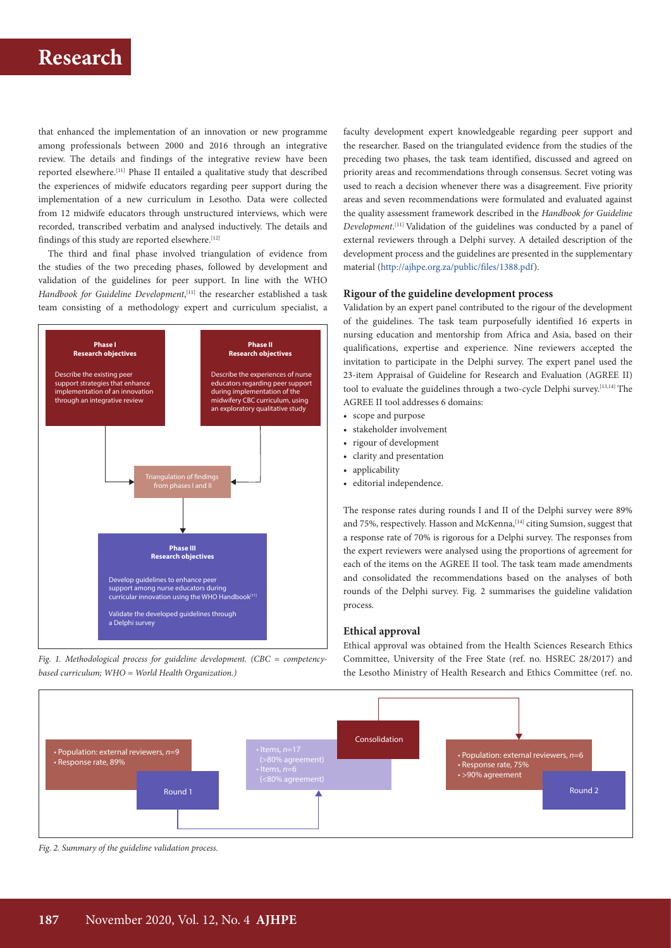# **Research**

that enhanced the implementation of an innovation or new programme among professionals between 2000 and 2016 through an integrative review. The details and findings of the integrative review have been reported elsewhere.[11] Phase II entailed a qualitative study that described the experiences of midwife educators regarding peer support during the implementation of a new curriculum in Lesotho. Data were collected from 12 midwife educators through unstructured interviews, which were recorded, transcribed verbatim and analysed inductively. The details and findings of this study are reported elsewhere.<sup>[12]</sup>

The third and final phase involved triangulation of evidence from the studies of the two preceding phases, followed by development and validation of the guidelines for peer support. In line with the WHO *Handbook for Guideline Development*, [11] the researcher established a task team consisting of a methodology expert and curriculum specialist, a



*Fig. 1. Methodological process for guideline development. (CBC = competencybased curriculum; WHO = World Health Organization.)*

faculty development expert knowledgeable regarding peer support and the researcher. Based on the triangulated evidence from the studies of the preceding two phases, the task team identified, discussed and agreed on priority areas and recommendations through consensus. Secret voting was used to reach a decision whenever there was a disagreement. Five priority areas and seven recommendations were formulated and evaluated against the quality assessment framework described in the *Handbook for Guideline Development*. [11] Validation of the guidelines was conducted by a panel of external reviewers through a Delphi survey. A detailed description of the development process and the guidelines are presented in the supplementary material ([http://ajhpe.org.za/public/files/1388.pdf\)](http://ajhpe.org.za/public/files/1388.pdf).

#### **Rigour of the guideline development process**

Validation by an expert panel contributed to the rigour of the development of the guidelines. The task team purposefully identified 16 experts in nursing education and mentorship from Africa and Asia, based on their qualifications, expertise and experience. Nine reviewers accepted the invitation to participate in the Delphi survey. The expert panel used the 23-item Appraisal of Guideline for Research and Evaluation (AGREE II) tool to evaluate the guidelines through a two-cycle Delphi survey.[13,14] The AGREE II tool addresses 6 domains:

- scope and purpose
- stakeholder involvement
- rigour of development
- clarity and presentation
- applicability
- editorial independence.

The response rates during rounds I and II of the Delphi survey were 89% and 75%, respectively. Hasson and McKenna, [14] citing Sumsion, suggest that a response rate of 70% is rigorous for a Delphi survey. The responses from the expert reviewers were analysed using the proportions of agreement for each of the items on the AGREE II tool. The task team made amendments and consolidated the recommendations based on the analyses of both rounds of the Delphi survey. Fig. 2 summarises the guideline validation process.

#### **Ethical approval**

Ethical approval was obtained from the Health Sciences Research Ethics Committee, University of the Free State (ref. no. HSREC 28/2017) and the Lesotho Ministry of Health Research and Ethics Committee (ref. no.



*Fig. 2. Summary of the guideline validation process.*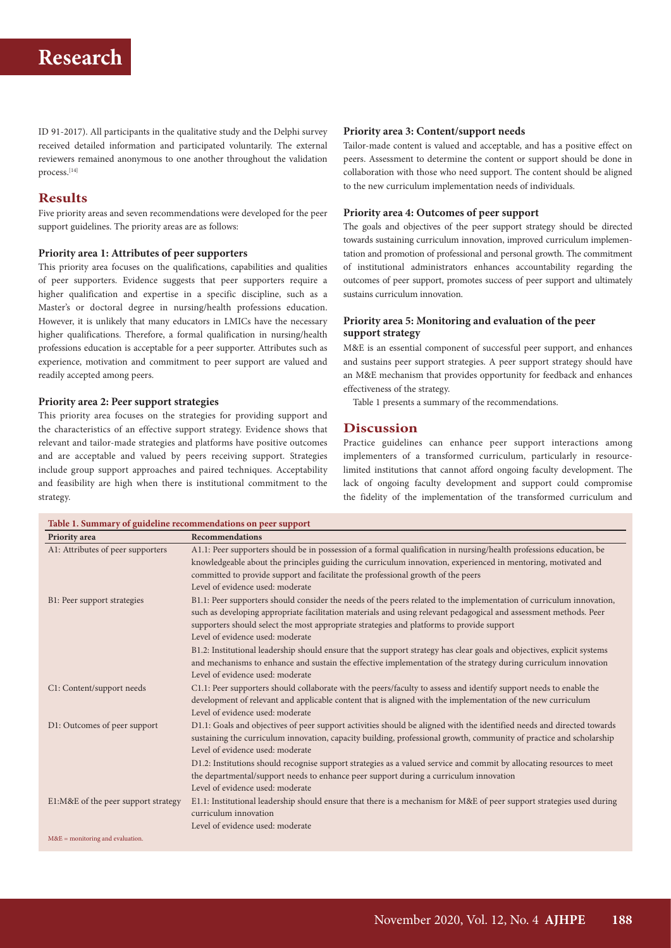# ID 91-2017). All participants in the qualitative study and the Delphi survey received detailed information and participated voluntarily. The external reviewers remained anonymous to one another throughout the validation process.[14]

## **Results**

**Research**

Five priority areas and seven recommendations were developed for the peer support guidelines. The priority areas are as follows:

#### **Priority area 1: Attributes of peer supporters**

This priority area focuses on the qualifications, capabilities and qualities of peer supporters. Evidence suggests that peer supporters require a higher qualification and expertise in a specific discipline, such as a Master's or doctoral degree in nursing/health professions education. However, it is unlikely that many educators in LMICs have the necessary higher qualifications. Therefore, a formal qualification in nursing/health professions education is acceptable for a peer supporter. Attributes such as experience, motivation and commitment to peer support are valued and readily accepted among peers.

#### **Priority area 2: Peer support strategies**

This priority area focuses on the strategies for providing support and the characteristics of an effective support strategy. Evidence shows that relevant and tailor-made strategies and platforms have positive outcomes and are acceptable and valued by peers receiving support. Strategies include group support approaches and paired techniques. Acceptability and feasibility are high when there is institutional commitment to the strategy.

**Table 1. Summary of guideline recommendations on peer support**

#### **Priority area 3: Content/support needs**

Tailor-made content is valued and acceptable, and has a positive effect on peers. Assessment to determine the content or support should be done in collaboration with those who need support. The content should be aligned to the new curriculum implementation needs of individuals.

#### **Priority area 4: Outcomes of peer support**

The goals and objectives of the peer support strategy should be directed towards sustaining curriculum innovation, improved curriculum implementation and promotion of professional and personal growth. The commitment of institutional administrators enhances accountability regarding the outcomes of peer support, promotes success of peer support and ultimately sustains curriculum innovation.

## **Priority area 5: Monitoring and evaluation of the peer support strategy**

M&E is an essential component of successful peer support, and enhances and sustains peer support strategies. A peer support strategy should have an M&E mechanism that provides opportunity for feedback and enhances effectiveness of the strategy.

Table 1 presents a summary of the recommendations.

#### **Discussion**

Practice guidelines can enhance peer support interactions among implementers of a transformed curriculum, particularly in resourcelimited institutions that cannot afford ongoing faculty development. The lack of ongoing faculty development and support could compromise the fidelity of the implementation of the transformed curriculum and

| Table 1. Summary or guideline recommendations on peer support |                                                                                                                                                                                                                                                                                                                                                                                                                                                                                                                                                                                                                                                              |
|---------------------------------------------------------------|--------------------------------------------------------------------------------------------------------------------------------------------------------------------------------------------------------------------------------------------------------------------------------------------------------------------------------------------------------------------------------------------------------------------------------------------------------------------------------------------------------------------------------------------------------------------------------------------------------------------------------------------------------------|
| Priority area                                                 | <b>Recommendations</b>                                                                                                                                                                                                                                                                                                                                                                                                                                                                                                                                                                                                                                       |
| A1: Attributes of peer supporters                             | A1.1: Peer supporters should be in possession of a formal qualification in nursing/health professions education, be<br>knowledgeable about the principles guiding the curriculum innovation, experienced in mentoring, motivated and<br>committed to provide support and facilitate the professional growth of the peers<br>Level of evidence used: moderate                                                                                                                                                                                                                                                                                                 |
| B1: Peer support strategies                                   | B1.1: Peer supporters should consider the needs of the peers related to the implementation of curriculum innovation,<br>such as developing appropriate facilitation materials and using relevant pedagogical and assessment methods. Peer<br>supporters should select the most appropriate strategies and platforms to provide support<br>Level of evidence used: moderate<br>B1.2: Institutional leadership should ensure that the support strategy has clear goals and objectives, explicit systems<br>and mechanisms to enhance and sustain the effective implementation of the strategy during curriculum innovation<br>Level of evidence used: moderate |
| C1: Content/support needs                                     | C1.1: Peer supporters should collaborate with the peers/faculty to assess and identify support needs to enable the<br>development of relevant and applicable content that is aligned with the implementation of the new curriculum<br>Level of evidence used: moderate                                                                                                                                                                                                                                                                                                                                                                                       |
| D1: Outcomes of peer support                                  | D1.1: Goals and objectives of peer support activities should be aligned with the identified needs and directed towards<br>sustaining the curriculum innovation, capacity building, professional growth, community of practice and scholarship<br>Level of evidence used: moderate<br>D1.2: Institutions should recognise support strategies as a valued service and commit by allocating resources to meet<br>the departmental/support needs to enhance peer support during a curriculum innovation<br>Level of evidence used: moderate                                                                                                                      |
| E1:M&E of the peer support strategy                           | E1.1: Institutional leadership should ensure that there is a mechanism for M&E of peer support strategies used during<br>curriculum innovation<br>Level of evidence used: moderate                                                                                                                                                                                                                                                                                                                                                                                                                                                                           |
| $M&E =$ monitoring and evaluation.                            |                                                                                                                                                                                                                                                                                                                                                                                                                                                                                                                                                                                                                                                              |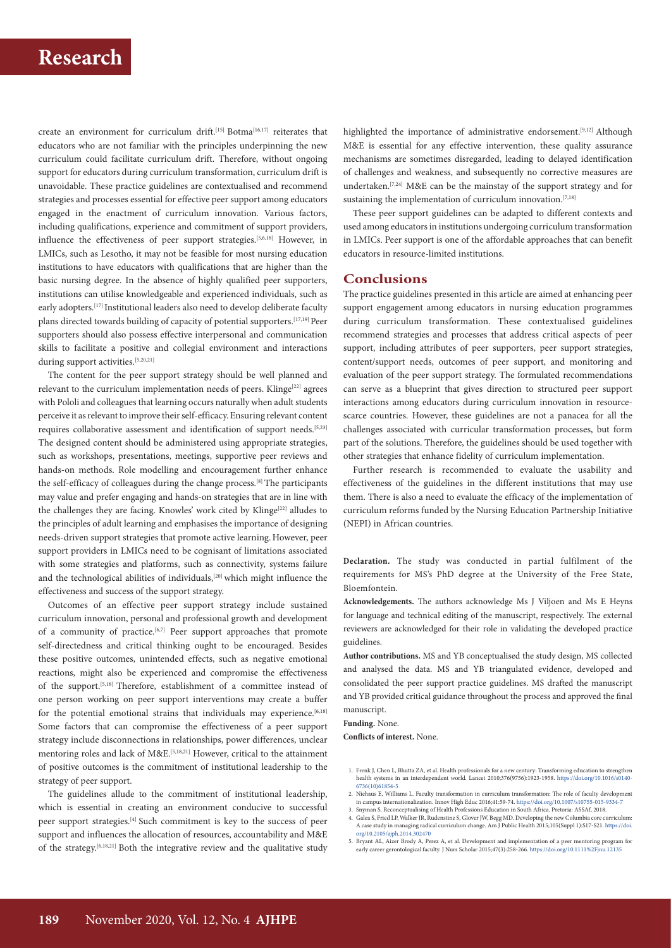create an environment for curriculum drift.<sup>[15]</sup> Botma<sup>[16,17]</sup> reiterates that educators who are not familiar with the principles underpinning the new curriculum could facilitate curriculum drift. Therefore, without ongoing support for educators during curriculum transformation, curriculum drift is unavoidable. These practice guidelines are contextualised and recommend strategies and processes essential for effective peer support among educators engaged in the enactment of curriculum innovation. Various factors, including qualifications, experience and commitment of support providers, influence the effectiveness of peer support strategies.[5,6,18] However, in LMICs, such as Lesotho, it may not be feasible for most nursing education institutions to have educators with qualifications that are higher than the basic nursing degree. In the absence of highly qualified peer supporters, institutions can utilise knowledgeable and experienced individuals, such as early adopters.<sup>[17]</sup> Institutional leaders also need to develop deliberate faculty plans directed towards building of capacity of potential supporters.[17,19] Peer supporters should also possess effective interpersonal and communication skills to facilitate a positive and collegial environment and interactions during support activities.<sup>[5,20,21]</sup>

The content for the peer support strategy should be well planned and relevant to the curriculum implementation needs of peers. Klinge<sup>[22]</sup> agrees with Pololi and colleagues that learning occurs naturally when adult students perceive it as relevant to improve their self-efficacy. Ensuring relevant content requires collaborative assessment and identification of support needs.[5,23] The designed content should be administered using appropriate strategies, such as workshops, presentations, meetings, supportive peer reviews and hands-on methods. Role modelling and encouragement further enhance the self-efficacy of colleagues during the change process.[8] The participants may value and prefer engaging and hands-on strategies that are in line with the challenges they are facing. Knowles' work cited by Klinge<sup>[22]</sup> alludes to the principles of adult learning and emphasises the importance of designing needs-driven support strategies that promote active learning.However, peer support providers in LMICs need to be cognisant of limitations associated with some strategies and platforms, such as connectivity, systems failure and the technological abilities of individuals,<sup>[20]</sup> which might influence the effectiveness and success of the support strategy.

Outcomes of an effective peer support strategy include sustained curriculum innovation, personal and professional growth and development of a community of practice.<sup>[6,7]</sup> Peer support approaches that promote self-directedness and critical thinking ought to be encouraged. Besides these positive outcomes, unintended effects, such as negative emotional reactions, might also be experienced and compromise the effectiveness of the support.[5,18] Therefore, establishment of a committee instead of one person working on peer support interventions may create a buffer for the potential emotional strains that individuals may experience.<sup>[6,18]</sup> Some factors that can compromise the effectiveness of a peer support strategy include disconnections in relationships, power differences, unclear mentoring roles and lack of M&E.<sup>[5,18,21]</sup> However, critical to the attainment of positive outcomes is the commitment of institutional leadership to the strategy of peer support.

The guidelines allude to the commitment of institutional leadership, which is essential in creating an environment conducive to successful peer support strategies.[4] Such commitment is key to the success of peer support and influences the allocation of resources, accountability and M&E of the strategy.[6,18,21] Both the integrative review and the qualitative study highlighted the importance of administrative endorsement.<sup>[9,12]</sup> Although M&E is essential for any effective intervention, these quality assurance mechanisms are sometimes disregarded, leading to delayed identification of challenges and weakness, and subsequently no corrective measures are undertaken.[7,24] M&E can be the mainstay of the support strategy and for sustaining the implementation of curriculum innovation.<sup>[7,18]</sup>

These peer support guidelines can be adapted to different contexts and used among educators in institutions undergoing curriculum transformation in LMICs. Peer support is one of the affordable approaches that can benefit educators in resource-limited institutions.

### **Conclusions**

The practice guidelines presented in this article are aimed at enhancing peer support engagement among educators in nursing education programmes during curriculum transformation. These contextualised guidelines recommend strategies and processes that address critical aspects of peer support, including attributes of peer supporters, peer support strategies, content/support needs, outcomes of peer support, and monitoring and evaluation of the peer support strategy. The formulated recommendations can serve as a blueprint that gives direction to structured peer support interactions among educators during curriculum innovation in resourcescarce countries. However, these guidelines are not a panacea for all the challenges associated with curricular transformation processes, but form part of the solutions. Therefore, the guidelines should be used together with other strategies that enhance fidelity of curriculum implementation.

Further research is recommended to evaluate the usability and effectiveness of the guidelines in the different institutions that may use them. There is also a need to evaluate the efficacy of the implementation of curriculum reforms funded by the Nursing Education Partnership Initiative (NEPI) in African countries.

**Declaration.** The study was conducted in partial fulfilment of the requirements for MS's PhD degree at the University of the Free State, Bloemfontein.

**Acknowledgements.** The authors acknowledge Ms J Viljoen and Ms E Heyns for language and technical editing of the manuscript, respectively. The external reviewers are acknowledged for their role in validating the developed practice guidelines.

**Author contributions.** MS and YB conceptualised the study design, MS collected and analysed the data. MS and YB triangulated evidence, developed and consolidated the peer support practice guidelines. MS drafted the manuscript and YB provided critical guidance throughout the process and approved the final manuscript.

**Funding.** None.

**Conflicts of interest.** None.

- 1. Frenk J, Chen L, Bhutta ZA, et al. Health professionals for a new century: Transforming education to strengthen health systems in an interdependent world. Lancet 2010;376(9756):1923-1958. [https://doi.org/10.1016/s0140-](https://doi.org/10.1016/s0140-6736(10)61854-5) [6736\(10\)61854-5](https://doi.org/10.1016/s0140-6736(10)61854-5)
- 2. Niehaus E, Williams L. Faculty transformation in curriculum transformation: The role of faculty development in campus internationalization. Innov High Educ 2016;41:59-74.<https://doi.org/10.1007/s10755-015-9334-7> 3. Snyman S. Reconceptualising of Health Professions Education in South Africa. Pretoria: ASSAf, 2018.
- 

4. Galea S, Fried LP, Walker JR, Rudenstine S, Glover JW, Begg MD. Developing the new Columbia core curriculum:<br>A case study in managing radical curriculum change. Am J Public Health 2015;105(Suppl 1):S17-S21. [https://doi.](https://doi.org/10.2105/ajph.2014.302470)

5. Bryant AL, Aizer Brody A, Perez A, et al. Development and implementation of a peer mentoring program for early career gerontological faculty. J Nurs Scholar 2015;47(3):258-266. [https://doi.org/10.1111%2Fjnu.12135](https://doi.org/10.1111%2Fjnu.12135
)